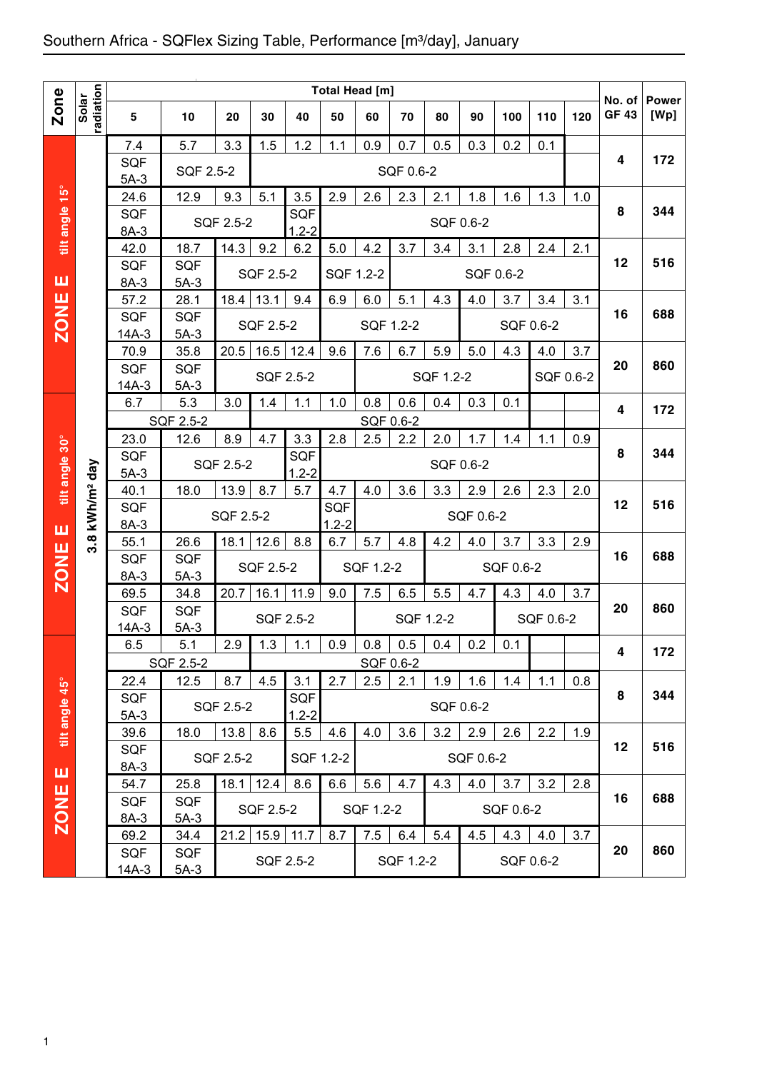|                |                        |                      |                   |           |           |                   | Total Head [m] |                  |           |           |           |                   |           |           |                        |                      |
|----------------|------------------------|----------------------|-------------------|-----------|-----------|-------------------|----------------|------------------|-----------|-----------|-----------|-------------------|-----------|-----------|------------------------|----------------------|
| <b>Zone</b>    | Solar<br>radiation     | $\sqrt{5}$           | 10                | 20        | 30        | 40                | 50             | 60               | 70        | 80        | 90        | 100               | 110       | 120       | No. of<br><b>GF 43</b> | <b>Power</b><br>[Wp] |
|                |                        |                      |                   |           |           |                   |                |                  |           |           |           |                   |           |           |                        |                      |
|                |                        | 7.4                  | 5.7               | 3.3       | 1.5       | 1.2               | 1.1            | 0.9              | 0.7       | 0.5       | 0.3       | 0.2               | 0.1       |           |                        |                      |
|                |                        | SQF                  | SQF 2.5-2         |           |           |                   |                |                  | SQF 0.6-2 |           |           |                   |           |           | 4                      | 172                  |
|                |                        | $5A-3$               |                   |           |           |                   |                |                  |           |           |           |                   |           |           |                        |                      |
| tilt angle 15° |                        | 24.6<br><b>SQF</b>   | 12.9              | 9.3       | 5.1       | 3.5<br><b>SQF</b> | 2.9            | 2.6              | 2.3       | 2.1       | 1.8       | 1.6               | 1.3       | 1.0       | 8                      | 344                  |
|                |                        | 8A-3                 |                   | SQF 2.5-2 |           | $1.2 - 2$         |                |                  |           |           | SQF 0.6-2 |                   |           |           |                        |                      |
|                |                        | 42.0                 | 18.7              | 14.3      | 9.2       | 6.2               | 5.0            | 4.2              | 3.7       | 3.4       | 3.1       | 2.8               | 2.4       | 2.1       |                        |                      |
|                |                        | <b>SQF</b>           | <b>SQF</b>        |           |           |                   |                |                  |           |           |           |                   |           |           | 12                     | 516                  |
| ш              |                        | 8A-3                 | $5A-3$            |           | SQF 2.5-2 |                   | SQF 1.2-2      |                  |           |           |           | SQF 0.6-2         |           |           |                        |                      |
|                |                        | 57.2                 | 28.1              | 18.4      | 13.1      | 9.4               | 6.9            | 6.0              | 5.1       | 4.3       | 4.0       | 3.7               | 3.4       | 3.1       |                        |                      |
|                |                        | <b>SQF</b>           | <b>SQF</b>        |           |           |                   |                |                  |           |           |           |                   | SQF 0.6-2 |           | 16                     | 688                  |
| <b>ZONE</b>    |                        | $14A-3$              | $5A-3$            |           | SQF 2.5-2 |                   |                | SQF 1.2-2        |           |           |           |                   |           |           |                        |                      |
|                |                        | 70.9                 | 35.8              | 20.5      | 16.5      | 12.4              | 9.6            | 7.6              | 6.7       | 5.9       | 5.0       | 4.3               | 4.0       | 3.7       |                        |                      |
|                |                        | <b>SQF</b>           | SQF               |           |           | SQF 2.5-2         |                |                  |           | SQF 1.2-2 |           |                   |           | SQF 0.6-2 | 20                     | 860                  |
|                |                        | $14A-3$              | $5A-3$            |           |           |                   |                |                  |           |           |           |                   |           |           |                        |                      |
|                |                        | 6.7                  | 5.3               | 3.0       | 1.4       | 1.1               | 1.0            | 0.8              | 0.6       | 0.4       | 0.3       | 0.1               |           |           | 4                      | 172                  |
|                |                        |                      | SQF 2.5-2         |           |           |                   |                | SQF 0.6-2        |           |           |           |                   |           |           |                        |                      |
|                |                        | 23.0                 | 12.6              | 8.9       | 4.7       | 3.3               | 2.8            | 2.5              | 2.2       | 2.0       | 1.7       | 1.4               | 1.1       | 0.9       | 8                      | 344                  |
| tilt angle 30° | day                    | <b>SQF</b><br>$5A-3$ |                   | SQF 2.5-2 |           | SQF<br>$1.2 - 2$  |                |                  |           |           | SQF 0.6-2 |                   |           |           |                        |                      |
|                |                        | 40.1                 | 18.0              | 13.9      | 8.7       | 5.7               | 4.7            | 4.0              | 3.6       | 3.3       | 2.9       | 2.6               | 2.3       | 2.0       |                        |                      |
|                | 3.8 kWh/m <sup>2</sup> | <b>SQF</b>           |                   |           |           |                   | SQF            |                  |           |           |           |                   |           |           | 12                     | 516                  |
| ш              |                        | 8A-3                 |                   | SQF 2.5-2 |           |                   | $1.2 - 2$      |                  |           |           | SQF 0.6-2 |                   |           |           |                        |                      |
|                |                        | 55.1                 | 26.6              | 18.1      | 12.6      | 8.8               | 6.7            | 5.7              | 4.8       | 4.2       | 4.0       | 3.7               | 3.3       | 2.9       |                        |                      |
|                |                        | SQF                  | <b>SQF</b>        |           | SQF 2.5-2 |                   |                | SQF 1.2-2        |           |           |           | SQF 0.6-2         |           |           | 16                     | 688                  |
| <b>ZONE</b>    |                        | $8A-3$               | $5A-3$            |           |           |                   |                |                  |           |           |           |                   |           |           |                        |                      |
|                |                        | 69.5                 | 34.8              | 20.7      | 16.1      | 11.9              | 9.0            | 7.5              | 6.5       | 5.5       | 4.7       | 4.3               | 4.0       | 3.7       |                        |                      |
|                |                        | SQF                  | <b>SQF</b>        |           |           | SQF 2.5-2         |                |                  | SQF 1.2-2 |           |           |                   | SQF 0.6-2 |           | 20                     | 860                  |
|                |                        | $14A-3$              | $5A-3$            |           |           |                   |                |                  |           |           |           |                   |           |           |                        |                      |
|                |                        | 6.5                  | 5.1               | 2.9       | $1.3$     | 1.1               | 0.9            | $0.8\,$          | 0.5       | 0.4       | 0.2       | $\vert 0.1 \vert$ |           |           | 4                      | 172                  |
|                |                        | 22.4                 | SQF 2.5-2<br>12.5 | 8.7       | 4.5       | 3.1               | 2.7            | SQF 0.6-2<br>2.5 | 2.1       | 1.9       | 1.6       | 1.4               | 1.1       | 0.8       |                        |                      |
|                |                        | <b>SQF</b>           |                   |           |           | SQF               |                |                  |           |           |           |                   |           |           | 8                      | 344                  |
|                |                        | $5A-3$               |                   | SQF 2.5-2 |           | $1.2 - 2$         |                |                  |           |           | SQF 0.6-2 |                   |           |           |                        |                      |
| tilt angle 45° |                        | 39.6                 | 18.0              | 13.8      | 8.6       | 5.5               | 4.6            | 4.0              | 3.6       | 3.2       | 2.9       | 2.6               | 2.2       | 1.9       |                        |                      |
|                |                        | SQF                  |                   |           |           |                   |                |                  |           |           |           |                   |           |           | 12                     | 516                  |
| ш              |                        | $8A-3$               |                   | SQF 2.5-2 |           |                   | SQF 1.2-2      |                  |           |           | SQF 0.6-2 |                   |           |           |                        |                      |
|                |                        |                      |                   |           |           |                   | 6.6            | 5.6              | 4.7       | 4.3       | 4.0       | 3.7               | 3.2       | 2.8       |                        |                      |
|                |                        | 54.7                 | 25.8              | 18.1      | 12.4      | 8.6               |                |                  |           |           |           |                   |           |           |                        |                      |
|                |                        | <b>SQF</b>           | SQF               |           |           |                   |                |                  |           |           |           |                   |           |           | 16                     | 688                  |
|                |                        | 8A-3                 | $5A-3$            |           | SQF 2.5-2 |                   |                | SQF 1.2-2        |           |           |           | SQF 0.6-2         |           |           |                        |                      |
| <b>ZONE</b>    |                        | 69.2<br>SQF          | 34.4<br>SQF       | 21.2      | 15.9      | 11.7              | 8.7            | 7.5              | 6.4       | 5.4       | 4.5       | 4.3               | 4.0       | 3.7       | 20                     | 860                  |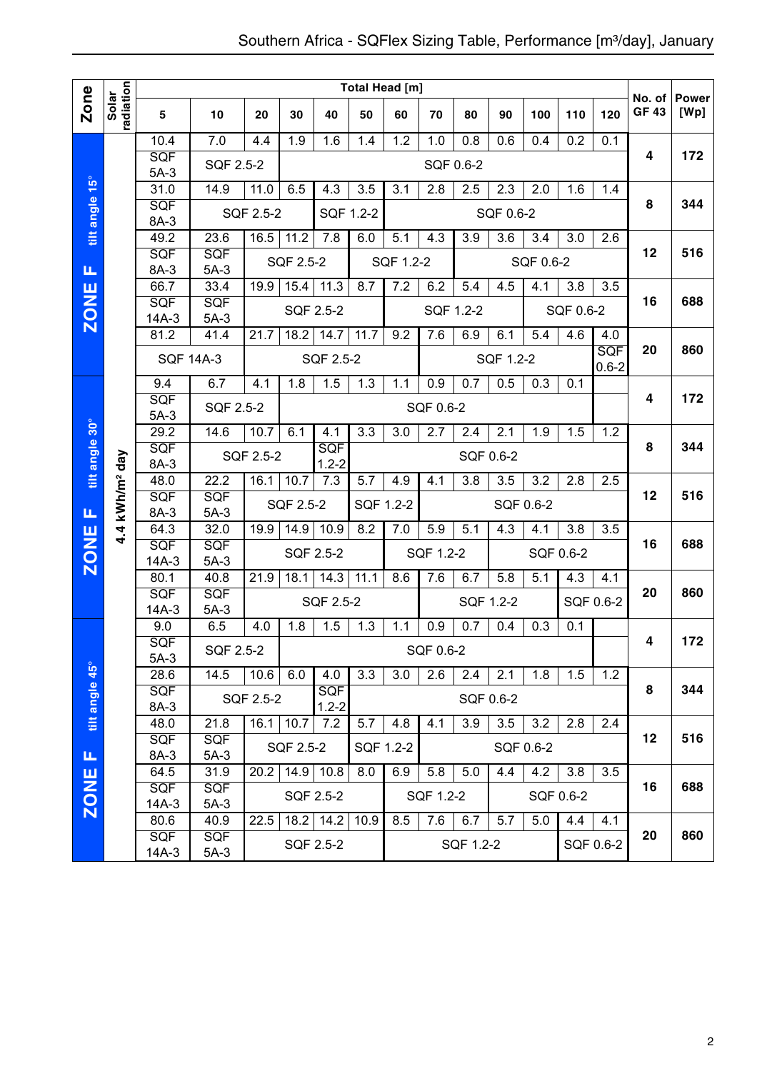|                |                            |                       |                      |           |             |                   | Total Head [m] |           |                  |                   |                  |           |           |                   |                        |                      |
|----------------|----------------------------|-----------------------|----------------------|-----------|-------------|-------------------|----------------|-----------|------------------|-------------------|------------------|-----------|-----------|-------------------|------------------------|----------------------|
| Zone           | radiation<br>Solar         | 5                     | 10                   | 20        | 30          | 40                | 50             | 60        | 70               | 80                | 90               | 100       | 110       | 120               | No. of<br><b>GF 43</b> | <b>Power</b><br>[Wp] |
|                |                            | 10.4                  | 7.0                  | 4.4       | 1.9         | 1.6               | 1.4            | 1.2       | 1.0              | 0.8               | 0.6              | 0.4       | 0.2       | 0.1               |                        |                      |
|                |                            | <b>SQF</b><br>$5A-3$  | SQF 2.5-2            |           |             |                   |                |           |                  | SQF 0.6-2         |                  |           |           |                   | 4                      | 172                  |
|                |                            | 31.0                  | 14.9                 | 11.0      | 6.5         | 4.3               | 3.5            | 3.1       | 2.8              | 2.5               | 2.3              | 2.0       | 1.6       | 1.4               |                        |                      |
| tilt angle 15° |                            | <b>SQF</b>            |                      | SQF 2.5-2 |             | SQF 1.2-2         |                |           |                  |                   | SQF 0.6-2        |           |           |                   | 8                      | 344                  |
|                |                            | 8A-3                  |                      |           |             |                   |                |           |                  |                   |                  |           |           |                   |                        |                      |
|                |                            | 49.2<br><b>SQF</b>    | 23.6                 | 16.5      | 11.2        | 7.8               | 6.0            | 5.1       | $\overline{4.3}$ | 3.9               | $\overline{3.6}$ | 3.4       | 3.0       | 2.6               | 12                     | 516                  |
| щ              |                            | 8A-3                  | <b>SQF</b><br>$5A-3$ |           | SQF 2.5-2   |                   |                | SQF 1.2-2 |                  |                   |                  | SQF 0.6-2 |           |                   |                        |                      |
|                |                            | 66.7                  | 33.4                 | 19.9      | 15.4        | 11.3              | 8.7            | 7.2       | 6.2              | 5.4               | 4.5              | 4.1       | 3.8       | 3.5               |                        |                      |
| <b>ZONE</b>    |                            | SQF                   | <b>SQF</b>           |           |             | SQF 2.5-2         |                |           | SQF 1.2-2        |                   |                  |           | SQF 0.6-2 |                   | 16                     | 688                  |
|                |                            | $14A-3$               | $5A-3$<br>41.4       |           | 18.2        |                   |                | 9.2       | 7.6              |                   |                  | 5.4       | 4.6       |                   |                        |                      |
|                |                            | 81.2                  |                      | 21.7      |             | 14.7              | 11.7           |           |                  | 6.9               | 6.1              |           |           | 4.0<br><b>SQF</b> | 20                     | 860                  |
|                |                            | <b>SQF 14A-3</b>      |                      |           |             | SQF 2.5-2         |                |           |                  |                   | SQF 1.2-2        |           |           | $0.6 - 2$         |                        |                      |
|                |                            | 9.4                   | 6.7                  | 4.1       | 1.8         | 1.5               | 1.3            | 1.1       | 0.9              | 0.7               | 0.5              | 0.3       | 0.1       |                   |                        |                      |
|                |                            | SQF                   | SQF 2.5-2            |           |             |                   |                |           | SQF 0.6-2        |                   |                  |           |           |                   | 4                      | 172                  |
|                |                            | $5A-3$<br>29.2        | 14.6                 | 10.7      | 6.1         | 4.1               | 3.3            | 3.0       | 2.7              | 2.4               | 2.1              | 1.9       | 1.5       | 1.2               |                        |                      |
|                |                            | SQF                   |                      |           |             | <b>SQF</b>        |                |           |                  |                   |                  |           |           |                   | 8                      | 344                  |
| tilt angle 30° |                            | 8A-3                  |                      | SQF 2.5-2 |             | $1.2 - 2$         |                |           |                  |                   | SQF 0.6-2        |           |           |                   |                        |                      |
|                |                            | 48.0                  | 22.2                 | 16.1      | 10.7        | 7.3               | 5.7            | 4.9       | 4.1              | 3.8               | 3.5              | 3.2       | 2.8       | 2.5               |                        |                      |
| Щ              |                            | SQF<br>8A-3           | SQF<br>$5A-3$        |           | SQF 2.5-2   |                   | SQF 1.2-2      |           |                  |                   |                  | SQF 0.6-2 |           |                   | 12                     | 516                  |
|                | 4.4 kWh/m <sup>2</sup> day | 64.3                  | 32.0                 | 19.9      | 14.9        | 10.9              | 8.2            | 7.0       | 5.9              | $\overline{5}$ .1 | 4.3              | 4.1       | 3.8       | 3.5               |                        |                      |
| <b>ZONE</b>    |                            | SQF                   | SQF                  |           |             | SQF 2.5-2         |                |           | SQF 1.2-2        |                   |                  |           | SQF 0.6-2 |                   | 16                     | 688                  |
|                |                            | $14A-3$               | $5A-3$               |           |             |                   |                |           |                  |                   |                  |           |           |                   |                        |                      |
|                |                            | 80.1                  | 40.8                 | 21.9      | 18.1        | 14.3              | 11.1           | 8.6       | 7.6              | 6.7               | 5.8              | 5.1       | 4.3       | 4.1               |                        | 860                  |
|                |                            | <b>SQF</b><br>$14A-3$ | SQF<br>$5A-3$        |           |             | SQF 2.5-2         |                |           |                  |                   | SQF 1.2-2        |           |           | SQF 0.6-2         | 20                     |                      |
|                |                            | 9.0                   | 6.5                  | 4.0       | 1.8         | 1.5               | 1.3            | 1.1       | 0.9              | 0.7               | 0.4              | 0.3       | 0.1       |                   |                        |                      |
|                |                            | SQF                   | SQF 2.5-2            |           |             |                   |                |           | SQF 0.6-2        |                   |                  |           |           |                   | 4                      | 172                  |
|                |                            | $5A-3$                |                      |           |             |                   |                |           |                  |                   |                  |           |           |                   |                        |                      |
|                |                            | 28.6<br><b>SQF</b>    | 14.5                 | 10.6      | 6.0         | 4.0<br><b>SQF</b> | 3.3            | 3.0       | 2.6              | 2.4               | 2.1              | 1.8       | 1.5       | 1.2               | 8                      | 344                  |
|                |                            | 8A-3                  |                      | SQF 2.5-2 |             | $1.2 - 2$         |                |           |                  |                   | SQF 0.6-2        |           |           |                   |                        |                      |
| tilt angle 45° |                            | 48.0                  | 21.8                 |           | $16.1$ 10.7 | 7.2               | 5.7            | 4.8       | 4.1              | 3.9               | 3.5              | 3.2       | 2.8       | 2.4               |                        |                      |
|                |                            | <b>SQF</b>            | <b>SQF</b>           |           | SQF 2.5-2   |                   | SQF 1.2-2      |           |                  |                   |                  | SQF 0.6-2 |           |                   | 12                     | 516                  |
| Щ              |                            | 8A-3                  | $5A-3$               |           |             |                   |                |           |                  |                   |                  |           |           |                   |                        |                      |
|                |                            | 64.5<br>SQF           | 31.9<br><b>SQF</b>   | 20.2      | 14.9        | 10.8              | 8.0            | 6.9       | 5.8              | 5.0               | 4.4              | 4.2       | 3.8       | 3.5               | 16                     | 688                  |
| <b>ZONE</b>    |                            | 14A-3                 | $5A-3$               |           |             | SQF 2.5-2         |                |           | SQF 1.2-2        |                   |                  |           | SQF 0.6-2 |                   |                        |                      |
|                |                            | 80.6                  | 40.9                 | 22.5      | 18.2        | 14.2              | 10.9           | 8.5       | 7.6              | 6.7               | 5.7              | 5.0       | 4.4       | 4.1               |                        |                      |
|                |                            | <b>SQF</b>            | <b>SQF</b>           |           |             | SQF 2.5-2         |                |           |                  | SQF 1.2-2         |                  |           |           | SQF 0.6-2         | 20                     | 860                  |
|                |                            | 14A-3                 | $5A-3$               |           |             |                   |                |           |                  |                   |                  |           |           |                   |                        |                      |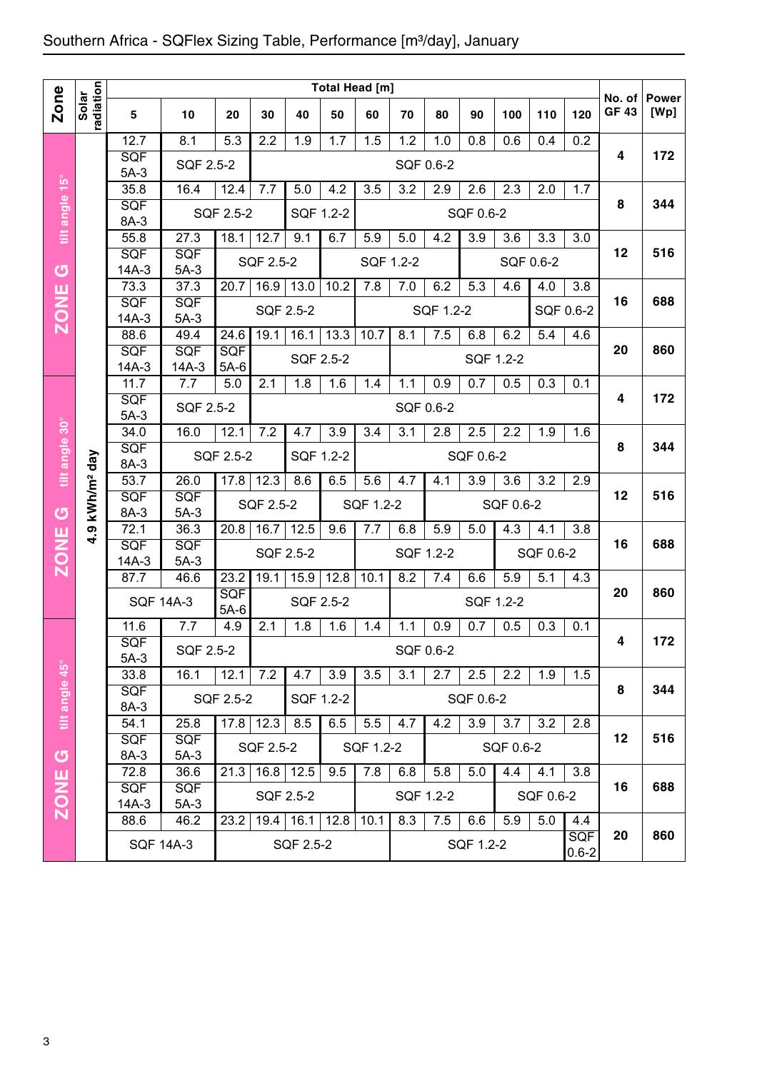|                |                            |                    |                      |               |                  |                | Total Head [m] |                  |           |           |                  |                  |                  |                         |                        |                      |
|----------------|----------------------------|--------------------|----------------------|---------------|------------------|----------------|----------------|------------------|-----------|-----------|------------------|------------------|------------------|-------------------------|------------------------|----------------------|
| Zone           | radiation<br>Solar         | 5                  | 10                   | 20            | 30               | 40             | 50             | 60               | 70        | 80        | 90               | 100              | 110              | 120                     | No. of<br><b>GF 43</b> | <b>Power</b><br>[Wp] |
|                |                            | 12.7               | 8.1                  | 5.3           | 2.2              | 1.9            | 1.7            | 1.5              | 1.2       | 1.0       | 0.8              | 0.6              | 0.4              | 0.2                     |                        |                      |
|                |                            | SQF<br>$5A-3$      | SQF 2.5-2            |               |                  |                |                |                  | SQF 0.6-2 |           |                  |                  |                  |                         | 4                      | 172                  |
|                |                            | 35.8               | 16.4                 | 12.4          | 7.7              | 5.0            | 4.2            | 3.5              | 3.2       | 2.9       | 2.6              | 2.3              | 2.0              | 1.7                     |                        |                      |
| tilt angle 15° |                            | SQF                |                      | SQF 2.5-2     |                  | SQF 1.2-2      |                |                  |           |           | SQF 0.6-2        |                  |                  |                         | 8                      | 344                  |
|                |                            | 8A-3<br>55.8       | 27.3                 | 18.1          | 12.7             | 9.1            | 6.7            | 5.9              | 5.0       | 4.2       | $\overline{3.9}$ | 3.6              | 3.3              | 3.0                     |                        |                      |
|                |                            | SQF                | SQF                  |               |                  |                |                |                  |           |           |                  |                  |                  |                         | 12                     | 516                  |
| G              |                            | $14A-3$            | $5A-3$               |               | <b>SQF 2.5-2</b> |                |                | SQF 1.2-2        |           |           |                  |                  | SQF 0.6-2        |                         |                        |                      |
|                |                            | 73.3               | 37.3                 | 20.7          | 16.9             | 13.0           | 10.2           | 7.8              | 7.0       | 6.2       | 5.3              | 4.6              | 4.0              | 3.8                     |                        |                      |
| <b>ZONE</b>    |                            | SQF<br>$14A-3$     | <b>SQF</b><br>$5A-3$ |               |                  | SQF 2.5-2      |                |                  |           | SQF 1.2-2 |                  |                  |                  | SQF 0.6-2               | 16                     | 688                  |
|                |                            | 88.6               | 49.4                 | 24.6          | 19.1             | 16.1           | 13.3           | 10.7             | 8.1       | 7.5       | 6.8              | 6.2              | $\overline{5.4}$ | 4.6                     |                        |                      |
|                |                            | SQF                | <b>SQF</b>           | <b>SQF</b>    |                  | SQF 2.5-2      |                |                  |           |           | SQF 1.2-2        |                  |                  |                         | 20                     | 860                  |
|                |                            | $14A-3$            | $14A-3$              | $5A-6$        |                  |                |                |                  |           |           |                  |                  |                  |                         |                        |                      |
|                |                            | 11.7<br>SQF        | 7.7                  | 5.0           | 2.1              | 1.8            | 1.6            | 1.4              | 1.1       | 0.9       | 0.7              | 0.5              | 0.3              | 0.1                     | 4                      | 172                  |
|                |                            | $5A-3$             | SQF 2.5-2            |               |                  |                |                |                  | SQF 0.6-2 |           |                  |                  |                  |                         |                        |                      |
| tilt angle 30° |                            | 34.0               | 16.0                 | 12.1          | 7.2              | 4.7            | 3.9            | 3.4              | 3.1       | 2.8       | 2.5              | 2.2              | 1.9              | 1.6                     |                        |                      |
|                |                            | SQF                |                      | SQF 2.5-2     |                  | SQF 1.2-2      |                |                  |           |           | SQF 0.6-2        |                  |                  |                         | 8                      | 344                  |
|                |                            | 8A-3<br>53.7       | 26.0                 | 17.8          | 12.3             | 8.6            | 6.5            | $5.\overline{6}$ | 4.7       | 4.1       | $\overline{3.9}$ | $\overline{3.6}$ | $\overline{3.2}$ | $\overline{2.9}$        |                        |                      |
|                | kWh/m <sup>2</sup> day     | SQF                | <b>SQF</b>           |               | SQF 2.5-2        |                |                | SQF 1.2-2        |           |           |                  | SQF 0.6-2        |                  |                         | 12                     | 516                  |
| U              |                            | 8A-3               | $5A-3$               |               |                  |                |                |                  |           |           |                  |                  |                  |                         |                        |                      |
| <b>ZONE</b>    | $\boldsymbol{\sigma}$<br>₹ | 72.1<br>SQF        | 36.3<br>SQF          | 20.8          | 16.7             | 12.5           | 9.6            | 7.7              | 6.8       | 5.9       | 5.0              | 4.3              | 4.1              | 3.8                     | 16                     | 688                  |
|                |                            | $14A-3$            | $5A-3$               |               |                  | SQF 2.5-2      |                |                  | SQF 1.2-2 |           |                  |                  | SQF 0.6-2        |                         |                        |                      |
|                |                            | 87.7               | 46.6                 | 23.2          | 19.1             | 15.9           | 12.8           | 10.1             | 8.2       | 7.4       | 6.6              | 5.9              | 5.1              | 4.3                     |                        |                      |
|                |                            | <b>SQF 14A-3</b>   |                      | SQF           |                  | SQF 2.5-2      |                |                  |           |           | SQF 1.2-2        |                  |                  |                         | 20                     | 860                  |
|                |                            | 11.6               | 7.7                  | $5A-6$<br>4.9 | 2.1              | 1.8            | 1.6            | 1.4              | 1.1       | 0.9       | 0.7              | 0.5              | 0.3              | 0.1                     |                        |                      |
|                |                            | SQF                |                      |               |                  |                |                |                  |           |           |                  |                  |                  |                         | 4                      | 172                  |
|                |                            | $5A-3$             | SQF 2.5-2            |               |                  |                |                |                  | SQF 0.6-2 |           |                  |                  |                  |                         |                        |                      |
|                |                            | 33.8               | 16.1                 | 12.1          | 7.2              | 4.7            | 3.9            | 3.5              | 3.1       | 2.7       | 2.5              | 2.2              | 1.9              | 1.5                     |                        | 344                  |
| tilt angle 45° |                            | <b>SQF</b><br>8A-3 |                      | SQF 2.5-2     |                  |                | SQF 1.2-2      |                  |           |           | SQF 0.6-2        |                  |                  |                         | 8                      |                      |
|                |                            | 54.1               | 25.8                 |               | $17.8$   12.3    | 8.5            | 6.5            | 5.5              | 4.7       | 4.2       | 3.9              | 3.7              | 3.2              | 2.8                     |                        |                      |
|                |                            | <b>SQF</b>         | <b>SQF</b>           |               | SQF 2.5-2        |                |                | SQF 1.2-2        |           |           |                  | SQF 0.6-2        |                  |                         | 12                     | 516                  |
| $\sigma$       |                            | 8A-3               | $5A-3$               |               |                  |                |                |                  |           |           |                  |                  |                  |                         |                        |                      |
| <b>ZONE</b>    |                            | 72.8<br><b>SQF</b> | 36.6<br><b>SQF</b>   | 21.3          |                  | $16.8$   12.5  | 9.5            | 7.8              | 6.8       | 5.8       | 5.0              | 4.4              | 4.1              | 3.8                     | 16                     | 688                  |
|                |                            | $14A-3$            | $5A-3$               |               |                  | SQF 2.5-2      |                |                  | SQF 1.2-2 |           |                  |                  | SQF 0.6-2        |                         |                        |                      |
|                |                            | 88.6               | 46.2                 | 23.2          |                  | 19.4 16.1 12.8 |                | 10.1             | 8.3       | 7.5       | 6.6              | 5.9              | 5.0              | 4.4                     |                        |                      |
|                |                            |                    | <b>SQF 14A-3</b>     |               |                  | SQF 2.5-2      |                |                  |           |           | SQF 1.2-2        |                  |                  | <b>SQF</b><br>$0.6 - 2$ | 20                     | 860                  |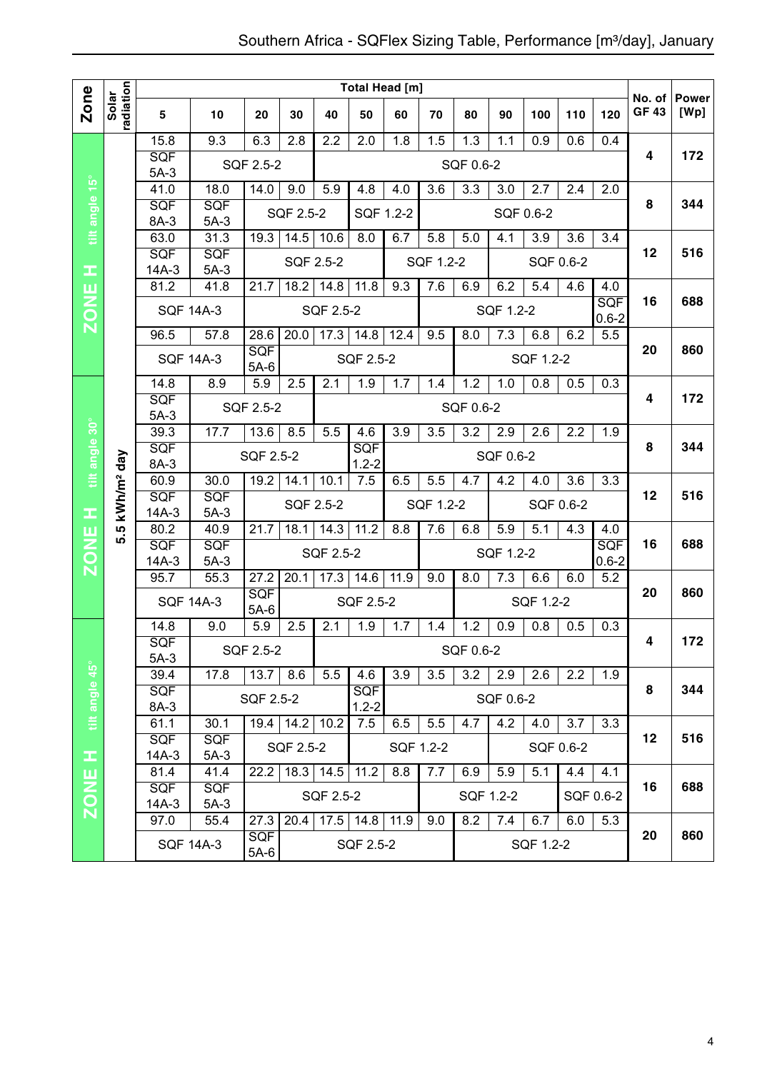|                |                        |                                               |                    |                      |                  |                  | <b>Total Head [m]</b> |                   |           |                  |           |           |           |                  |                        |                      |
|----------------|------------------------|-----------------------------------------------|--------------------|----------------------|------------------|------------------|-----------------------|-------------------|-----------|------------------|-----------|-----------|-----------|------------------|------------------------|----------------------|
| Zone           | radiation<br>Solar     | 5                                             | 10                 | 20                   | 30               | 40               | 50                    | 60                | 70        | 80               | 90        | 100       | 110       | 120              | No. of<br><b>GF 43</b> | <b>Power</b><br>[Wp] |
|                |                        | 15.8                                          | 9.3                | 6.3                  | 2.8              | 2.2              | 2.0                   | 1.8               | 1.5       | $\overline{1.3}$ | 1.1       | 0.9       | 0.6       | 0.4              |                        |                      |
|                |                        | <b>SQF</b><br>$5A-3$                          |                    | SQF 2.5-2            |                  |                  |                       |                   |           | SQF 0.6-2        |           |           |           |                  | 4                      | 172                  |
|                |                        | 41.0                                          | 18.0               | 14.0                 | 9.0              | 5.9              | 4.8                   | 4.0               | 3.6       | 3.3              | 3.0       | 2.7       | 2.4       | 2.0              |                        |                      |
| tilt angle 15° |                        | SQF                                           | <b>SQF</b>         |                      | SQF 2.5-2        |                  | SQF 1.2-2             |                   |           |                  |           | SQF 0.6-2 |           |                  | 8                      | 344                  |
|                |                        | 8A-3                                          | $5A-3$             |                      |                  |                  |                       |                   |           |                  |           |           |           |                  |                        |                      |
|                |                        | 63.0                                          | 31.3               | 19.3                 | 14.5             | 10.6             | 8.0                   | 6.7               | 5.8       | 5.0              | 4.1       | 3.9       | 3.6       | 3.4              | 12                     | 516                  |
| x,             |                        | SQF<br>$14A-3$                                | SQF<br>$5A-3$      |                      | <b>SQF 2.5-2</b> |                  |                       |                   | SQF 1.2-2 |                  |           |           | SQF 0.6-2 |                  |                        |                      |
| ш              |                        | 81.2                                          | 41.8               | 21.7                 | 18.2             | 14.8             | 11.8                  | 9.3               | 7.6       | 6.9              | 6.2       | 5.4       | 4.6       | 4.0              |                        |                      |
| <b>NOZ</b>     |                        |                                               | <b>SQF 14A-3</b>   |                      |                  | <b>SQF 2.5-2</b> |                       |                   |           |                  | SQF 1.2-2 |           |           | <b>SQF</b>       | 16                     | 688                  |
|                |                        | 96.5                                          | 57.8               | 28.6                 | 20.0             | 17.3             | 14.8                  | 12.4              | 9.5       | 8.0              | 7.3       | 6.8       | 6.2       | $0.6 - 2$<br>5.5 |                        |                      |
|                |                        |                                               |                    | <b>SQF</b>           |                  |                  |                       |                   |           |                  |           |           |           |                  | 20                     | 860                  |
|                |                        |                                               | <b>SQF 14A-3</b>   | $5A-6$               |                  |                  | SQF 2.5-2             |                   |           |                  |           | SQF 1.2-2 |           |                  |                        |                      |
|                |                        | 14.8                                          | 8.9                | 5.9                  | 2.5              | 2.1              | 1.9                   | 1.7               | 1.4       | 1.2              | 1.0       | 0.8       | 0.5       | 0.3              |                        |                      |
|                |                        | <b>SQF</b><br>$5A-3$                          |                    | SQF 2.5-2            |                  |                  |                       |                   |           | SQF 0.6-2        |           |           |           |                  | 4                      | 172                  |
|                |                        | 39.3                                          | 17.7               | 13.6                 | 8.5              | 5.5              | 4.6                   | 3.9               | 3.5       | 3.2              | 2.9       | 2.6       | 2.2       | 1.9              |                        |                      |
|                |                        | SQF                                           |                    | SQF 2.5-2            |                  |                  | <b>SQF</b>            |                   |           |                  | SQF 0.6-2 |           |           |                  | 8                      | 344                  |
| tilt angle 30° |                        | 8A-3                                          |                    |                      |                  |                  | $1.2 - 2$             |                   |           |                  |           |           |           |                  |                        |                      |
|                |                        | 60.9<br>SQF                                   | 30.0<br><b>SQF</b> | 19.2                 | 14.1             | 10.1             | 7.5                   | 6.5               | 5.5       | 4.7              | 4.2       | 4.0       | 3.6       | 3.3              | 12                     | 516                  |
| œ              | kWh/m <sup>2</sup> day | $14A-3$                                       | $5A-3$             |                      | <b>SQF 2.5-2</b> |                  |                       |                   | SQF 1.2-2 |                  |           |           | SQF 0.6-2 |                  |                        |                      |
| ш              | ְחֵ                    | 80.2                                          | 40.9               | 21.7                 | 18.1             | 14.3             | 11.2                  | 8.8               | 7.6       | 6.8              | 5.9       | 5.1       | 4.3       | 4.0              |                        |                      |
| <b>NOZ</b>     | ທົ                     | <b>SQF</b>                                    | <b>SQF</b>         |                      |                  | <b>SQF 2.5-2</b> |                       |                   |           |                  | SQF 1.2-2 |           |           | SQF              | 16                     | 688                  |
|                |                        | $14A-3$                                       | $5A-3$<br>55.3     |                      |                  |                  |                       | $11.\overline{9}$ |           |                  |           |           |           | $0.6 - 2$        |                        |                      |
|                |                        | 95.7                                          |                    | 27.2<br>SQF          | 20.1             | 17.3             | 14.6                  |                   | 9.0       | 8.0              | 7.3       | 6.6       | 6.0       | 5.2              | 20                     | 860                  |
|                |                        |                                               | <b>SQF 14A-3</b>   | $5A-6$               |                  |                  | SQF 2.5-2             |                   |           |                  |           | SQF 1.2-2 |           |                  |                        |                      |
|                |                        | 14.8                                          | 9.0                | 5.9                  | 2.5              | 2.1              | 1.9                   | 1.7               | 1.4       | 1.2              | 0.9       | 0.8       | 0.5       | 0.3              |                        |                      |
|                |                        | SQF                                           |                    | SQF 2.5-2            |                  |                  |                       |                   |           | SQF 0.6-2        |           |           |           |                  | 4                      | 172                  |
|                |                        | $5A-3$<br>39.4                                | 17.8               | 13.7                 | 8.6              | 5.5              | 4.6                   | 3.9               | 3.5       | 3.2              | 2.9       | 2.6       | 2.2       | 1.9              |                        |                      |
| tilt angle 45° |                        | SQF                                           |                    |                      |                  |                  | <b>SQF</b>            |                   |           |                  |           |           |           |                  | 8                      | 344                  |
|                |                        | 8A-3                                          |                    | SQF 2.5-2            |                  |                  | $1.2 - 2$             |                   |           |                  | SQF 0.6-2 |           |           |                  |                        |                      |
|                |                        | 61.1                                          | 30.1               |                      | $19.4$ 14.2      | 10.2             | 7.5                   | 6.5               | 5.5       | 4.7              | 4.2       | 4.0       | 3.7       | 3.3              |                        |                      |
|                |                        | <b>SQF</b><br><b>SQF</b><br>$14A-3$<br>$5A-3$ |                    |                      | SQF 2.5-2        |                  |                       |                   | SQF 1.2-2 |                  |           |           | SQF 0.6-2 |                  | 12                     | 516                  |
| Ŧ<br>ш         |                        | 81.4                                          | 41.4               | 22.2                 |                  | $18.3$ 14.5      | 11.2                  | 8.8               | 7.7       | 6.9              | 5.9       | 5.1       | 4.4       | 4.1              |                        |                      |
|                |                        | <b>SQF</b>                                    | <b>SQF</b>         |                      |                  | SQF 2.5-2        |                       |                   |           |                  | SQF 1.2-2 |           |           | SQF 0.6-2        | 16                     | 688                  |
| ZON            |                        | 14A-3                                         | $5A-3$             |                      |                  |                  |                       |                   |           |                  |           |           |           |                  |                        |                      |
|                |                        | 97.0                                          | 55.4               | 27.3                 | 20.4             |                  | $17.5$ 14.8           | 11.9              | 9.0       | 8.2              | 7.4       | 6.7       | 6.0       | 5.3              | 20                     | 860                  |
|                |                        |                                               | <b>SQF 14A-3</b>   | <b>SQF</b><br>$5A-6$ |                  |                  | SQF 2.5-2             |                   |           |                  |           | SQF 1.2-2 |           |                  |                        |                      |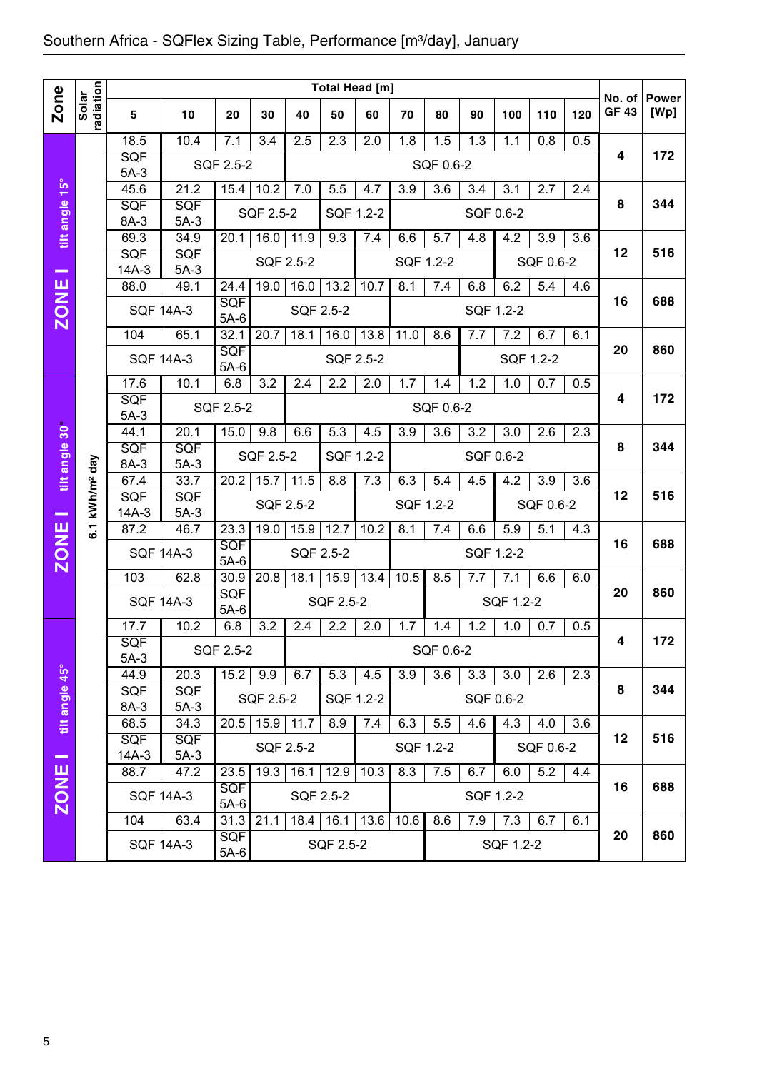|                |                        |                                               |                              |                      |           |                   | Total Head [m] |           |                  |                  |     |                  |                  |                  |                       |                      |
|----------------|------------------------|-----------------------------------------------|------------------------------|----------------------|-----------|-------------------|----------------|-----------|------------------|------------------|-----|------------------|------------------|------------------|-----------------------|----------------------|
| <b>Zone</b>    | radiation<br>Solar     | 5                                             | 10                           | 20                   | 30        | 40                | 50             | 60        | 70               | 80               | 90  | 100              | 110              | 120              | No. of<br><b>GF43</b> | <b>Power</b><br>[Wp] |
|                |                        | 18.5<br><b>SQF</b><br>$5A-3$                  | 10.4                         | 7.1<br>SQF 2.5-2     | 3.4       | 2.5               | 2.3            | 2.0       | 1.8              | 1.5<br>SQF 0.6-2 | 1.3 | 1.1              | 0.8              | 0.5              | 4                     | 172                  |
| tilt angle 15° |                        | 45.6<br>SQF                                   | 21.2<br>SQF                  | 15.4                 | 10.2      | 7.0               | 5.5            | 4.7       | 3.9              | 3.6              | 3.4 | $\overline{3}.1$ | 2.7              | 2.4              | 8                     | 344                  |
|                |                        | 8A-3                                          | $5A-3$                       |                      | SQF 2.5-2 |                   | SQF 1.2-2      |           |                  |                  |     | SQF 0.6-2        |                  |                  |                       |                      |
|                |                        | 69.3<br><b>SQF</b><br>$14A-3$                 | 34.9<br><b>SQF</b><br>$5A-3$ | 20.1                 | 16.0      | 11.9<br>SQF 2.5-2 | 9.3            | 7.4       | 6.6<br>SQF 1.2-2 | 5.7              | 4.8 | 4.2              | 3.9<br>SQF 0.6-2 | 3.6              | 12                    | 516                  |
| $\equiv$       |                        | 88.0                                          | 49.1                         | 24.4                 | 19.0      | 16.0              | 13.2           | 10.7      | 8.1              | 7.4              | 6.8 | 6.2              | 5.4              | 4.6              |                       |                      |
| <b>ZONE</b>    |                        | <b>SQF 14A-3</b>                              |                              | SQF<br>$5A-6$        |           | SQF 2.5-2         |                |           |                  |                  |     | SQF 1.2-2        |                  |                  | 16                    | 688                  |
|                |                        | 104                                           | 65.1                         | 32.1                 | 20.7      | 18.1              | 16.0           | 13.8      | 11.0             | 8.6              | 7.7 | 7.2              | 6.7              | 6.1              |                       |                      |
|                |                        | <b>SQF 14A-3</b>                              |                              | SQF<br>$5A-6$        |           |                   | SQF 2.5-2      |           |                  |                  |     |                  | SQF 1.2-2        |                  | 20                    | 860                  |
|                |                        | 17.6                                          | 10.1                         | 6.8                  | 3.2       | 2.4               | 2.2            | 2.0       | 1.7              | 1.4              | 1.2 | 1.0              | 0.7              | 0.5              | 4                     | 172                  |
|                |                        | <b>SQF</b><br>$5A-3$                          |                              | SQF 2.5-2            |           |                   |                |           |                  | SQF 0.6-2        |     |                  |                  |                  |                       |                      |
| tilt angle 30° |                        | 44.1                                          | 20.1<br>SQF                  | 15.0                 | 9.8       | 6.6               | 5.3            | 4.5       | 3.9              | 3.6              | 3.2 | 3.0              | 2.6              | 2.3              | 8                     | 344                  |
|                |                        | <b>SQF</b><br>8A-3                            | $5A-3$                       |                      | SQF 2.5-2 |                   | SQF 1.2-2      |           |                  |                  |     | SQF 0.6-2        |                  |                  |                       |                      |
|                |                        | 67.4                                          | 33.7                         | 20.2                 | 15.7      | 11.5              | 8.8            | 7.3       | 6.3              | 5.4              | 4.5 | 4.2              | $\overline{3.9}$ | $\overline{3.6}$ |                       |                      |
|                | kWh/m <sup>2</sup> day | SQF<br>$14A-3$                                | <b>SQF</b><br>$5A-3$         |                      |           | SQF 2.5-2         |                |           | SQF 1.2-2        |                  |     |                  | SQF 0.6-2        |                  | 12                    | 516                  |
|                | <del>د</del><br>نه     | 87.2                                          | 46.7                         | 23.3<br><b>SQF</b>   | 19.0      | 15.9              | 12.7           | 10.2      | 8.1              | 7.4              | 6.6 | 5.9              | 5.1              | 4.3              | 16                    | 688                  |
| <b>ZONE</b>    |                        | <b>SQF 14A-3</b>                              |                              | $5A-6$               |           | SQF 2.5-2         |                |           |                  |                  |     | SQF 1.2-2        |                  |                  |                       |                      |
|                |                        | 103                                           | 62.8                         | 30.9                 | 20.8      | 18.1              | 15.9           | 13.4      | 10.5             | 8.5              | 7.7 | 7.1              | 6.6              | 6.0              | 20                    | 860                  |
|                |                        | <b>SQF 14A-3</b>                              |                              | <b>SQF</b><br>$5A-6$ |           |                   | SQF 2.5-2      |           |                  |                  |     | SQF 1.2-2        |                  |                  |                       |                      |
|                |                        | 17.7<br>SQF                                   | 10.2                         | 6.8<br>SQF 2.5-2     | 3.2       | 2.4               | 2.2            | 2.0       | 1.7              | 1.4<br>SQF 0.6-2 | 1.2 | 1.0              | 0.7              | 0.5              | 4                     | 172                  |
|                |                        | $5A-3$<br>44.9                                | 20.3                         | 15.2                 | 9.9       | 6.7               | 5.3            | 4.5       | 3.9              | 3.6              | 3.3 | 3.0              | 2.6              | 2.3              |                       |                      |
| tilt angle 45° |                        | <b>SQF</b><br>8A-3                            | <b>SQF</b><br>$5A-3$         |                      | SQF 2.5-2 |                   |                | SQF 1.2-2 |                  |                  |     | SQF 0.6-2        |                  |                  | 8                     | 344                  |
|                |                        | 68.5                                          | 34.3                         | 20.5                 | 15.9      | 11.7              | 8.9            | 7.4       | 6.3              | 5.5              | 4.6 | 4.3              | 4.0              | 3.6              |                       |                      |
| $\equiv$       |                        | <b>SQF</b><br><b>SQF</b><br>$14A-3$<br>$5A-3$ |                              |                      |           | SQF 2.5-2         |                |           | SQF 1.2-2        |                  |     |                  | SQF 0.6-2        |                  | 12                    | 516                  |
|                |                        | 88.7                                          | 47.2                         | 23.5                 | 19.3      | 16.1              | 12.9           | 10.3      | 8.3              | 7.5              | 6.7 | 6.0              | 5.2              | 4.4              |                       |                      |
| <b>ZONE</b>    |                        |                                               | <b>SQF 14A-3</b>             | <b>SQF</b><br>$5A-6$ |           | SQF 2.5-2         |                |           |                  |                  |     | SQF 1.2-2        |                  |                  | 16                    | 688                  |
|                |                        | 104                                           | 63.4                         | 31.3                 | 21.1      |                   | $18.4$   16.1  | 13.6      | 10.6             | 8.6              | 7.9 | 7.3              | 6.7              | 6.1              |                       |                      |
|                |                        |                                               | <b>SQF 14A-3</b>             | <b>SQF</b><br>$5A-6$ |           |                   | SQF 2.5-2      |           |                  |                  |     | SQF 1.2-2        |                  |                  | 20                    | 860                  |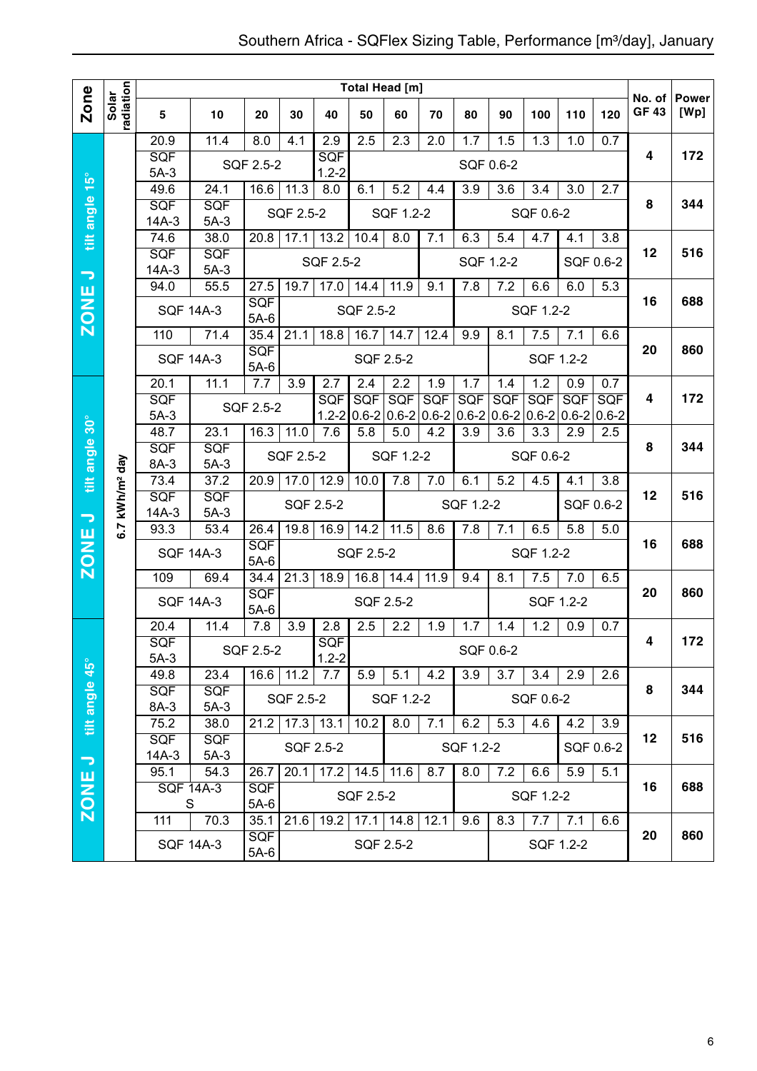|                          |                            |                      |                      |                      |           |                         | Total Head [m]   |           |      |                                                              |            |            |                                            |                         |                        |                      |
|--------------------------|----------------------------|----------------------|----------------------|----------------------|-----------|-------------------------|------------------|-----------|------|--------------------------------------------------------------|------------|------------|--------------------------------------------|-------------------------|------------------------|----------------------|
| Zone                     | radiation<br>Solar         | 5                    | 10                   | 20                   | 30        | 40                      | 50               | 60        | 70   | 80                                                           | 90         | 100        | 110                                        | 120                     | No. of<br><b>GF 43</b> | <b>Power</b><br>[Wp] |
|                          |                            | 20.9                 | 11.4                 | 8.0                  | 4.1       | 2.9                     | 2.5              | 2.3       | 2.0  | 1.7                                                          | 1.5        | 1.3        | 1.0                                        | 0.7                     |                        |                      |
|                          |                            | <b>SQF</b><br>$5A-3$ |                      | SQF 2.5-2            |           | SQF<br>$1.2 - 2$        |                  |           |      | SQF 0.6-2                                                    |            |            |                                            |                         | 4                      | 172                  |
| tilt angle 15°           |                            | 49.6                 | 24.1                 | 16.6                 | 11.3      | 8.0                     | 6.1              | 5.2       | 4.4  | 3.9                                                          | 3.6        | 3.4        | 3.0                                        | 2.7                     |                        |                      |
|                          |                            | SQF                  | <b>SQF</b>           |                      | SQF 2.5-2 |                         |                  | SQF 1.2-2 |      |                                                              |            | SQF 0.6-2  |                                            |                         | 8                      | 344                  |
|                          |                            | $14A-3$<br>74.6      | $5A-3$               | 20.8                 |           |                         |                  |           |      |                                                              |            |            |                                            |                         |                        |                      |
|                          |                            | SQF                  | 38.0<br>SQF          |                      | 17.1      | 13.2                    | 10.4             | 8.0       | 7.1  | 6.3                                                          | 5.4        | 4.7        | 4.1                                        | $\overline{3.8}$        | 12                     | 516                  |
| $\overline{\phantom{0}}$ |                            | $14A-3$              | $5A-3$               |                      |           | SQF 2.5-2               |                  |           |      | SQF 1.2-2                                                    |            |            |                                            | SQF 0.6-2               |                        |                      |
|                          |                            | 94.0                 | 55.5                 | 27.5                 | 19.7      | 17.0                    | 14.4             | 11.9      | 9.1  | 7.8                                                          | 7.2        | 6.6        | 6.0                                        | 5.3                     |                        |                      |
| <b>ZONE</b>              |                            |                      | <b>SQF 14A-3</b>     | <b>SQF</b><br>$5A-6$ |           |                         | SQF 2.5-2        |           |      |                                                              |            | SQF 1.2-2  |                                            |                         | 16                     | 688                  |
|                          |                            | 110                  | 71.4                 | 35.4                 | 21.1      | 18.8                    | 16.7             | 14.7      | 12.4 | 9.9                                                          | 8.1        | 7.5        | 7.1                                        | 6.6                     |                        |                      |
|                          |                            |                      | <b>SQF 14A-3</b>     | <b>SQF</b><br>$5A-6$ |           |                         | SQF 2.5-2        |           |      |                                                              |            |            | SQF 1.2-2                                  |                         | 20                     | 860                  |
|                          |                            | 20.1                 | 11.1                 | 7.7                  | 3.9       | 2.7                     | 2.4              | 2.2       | 1.9  | 1.7                                                          | 1.4        | 1.2        | 0.9                                        | 0.7                     |                        |                      |
|                          |                            | SQF<br>$5A-3$        |                      | SQF 2.5-2            |           | <b>SQF</b><br>$1.2 - 2$ | <b>SQF</b>       | SQF       | SQF  | SQF<br>$0.6 - 2 \mid 0.6 - 2 \mid 0.6 - 2 \mid 0.6 - 2 \mid$ | <b>SQF</b> | <b>SQF</b> | SQF<br>$0.6 - 2 \mid 0.6 - 2 \mid 0.6 - 2$ | <b>SQF</b><br>$0.6 - 2$ | 4                      | 172                  |
|                          |                            | 48.7                 | 23.1                 | 16.3                 | 11.0      | 7.6                     | 5.8              | 5.0       | 4.2  | 3.9                                                          | 3.6        | 3.3        | 2.9                                        | 2.5                     |                        |                      |
|                          |                            | SQF                  | <b>SQF</b>           |                      | SQF 2.5-2 |                         |                  | SQF 1.2-2 |      |                                                              |            | SQF 0.6-2  |                                            |                         | 8                      | 344                  |
| tilt angle 30°           |                            | 8A-3                 | $5A-3$               |                      |           |                         |                  |           |      |                                                              |            |            |                                            |                         |                        |                      |
|                          | 6.7 kWh/m <sup>2</sup> day | 73.4<br>SQF          | 37.2<br><b>SQF</b>   | 20.9                 | 17.0      | 12.9                    | 10.0             | 7.8       | 7.0  | 6.1                                                          | 5.2        | 4.5        | 4.1                                        | 3.8                     | 12                     | 516                  |
| $\overline{\phantom{0}}$ |                            | $14A-3$              | $5A-3$               |                      |           | SQF 2.5-2               |                  |           |      | SQF 1.2-2                                                    |            |            |                                            | SQF 0.6-2               |                        |                      |
|                          |                            | 93.3                 | 53.4                 | 26.4                 | 19.8      | 16.9                    | 14.2             | 11.5      | 8.6  | 7.8                                                          | 7.1        | 6.5        | 5.8                                        | 5.0                     |                        |                      |
| <b>ZONE</b>              |                            |                      | <b>SQF 14A-3</b>     | <b>SQF</b><br>$5A-6$ |           |                         | <b>SQF 2.5-2</b> |           |      |                                                              |            | SQF 1.2-2  |                                            |                         | 16                     | 688                  |
|                          |                            | 109                  | 69.4                 | 34.4                 | 21.3      | 18.9                    | 16.8             | 14.4      | 11.9 | 9.4                                                          | 8.1        | 7.5        | 7.0                                        | 6.5                     |                        |                      |
|                          |                            |                      | <b>SQF 14A-3</b>     | <b>SQF</b><br>$5A-6$ |           |                         | SQF 2.5-2        |           |      |                                                              |            |            | SQF 1.2-2                                  |                         | 20                     | 860                  |
|                          |                            | 20.4                 | 11.4                 | 7.8                  | 3.9       | 2.8                     | 2.5              | 2.2       | 1.9  | 1.7                                                          | 1.4        | 1.2        | 0.9                                        | 0.7                     |                        |                      |
|                          |                            | SQF<br>$5A-3$        |                      | SQF 2.5-2            |           | <b>SQF</b><br>$1.2 - 2$ |                  |           |      | SQF 0.6-2                                                    |            |            |                                            |                         | 4                      | 172                  |
| $45^{\circ}$             |                            | 49.8                 | 23.4                 | 16.6                 | 11.2      | 7.7                     | 5.9              | 5.1       | 4.2  | 3.9                                                          | 3.7        | 3.4        | 2.9                                        | 2.6                     |                        |                      |
| tilt angle               |                            | SQF<br>8A-3          | SQF<br>$5A-3$        |                      | SQF 2.5-2 |                         |                  | SQF 1.2-2 |      |                                                              |            | SQF 0.6-2  |                                            |                         | 8                      | 344                  |
|                          |                            | 75.2                 | 38.0                 | 21.2                 |           | $17.3$ 13.1             | 10.2             | 8.0       | 7.1  | 6.2                                                          | 5.3        | 4.6        | 4.2                                        | 3.9                     |                        |                      |
| $\overline{\phantom{m}}$ |                            | <b>SQF</b><br>14A-3  | <b>SQF</b><br>$5A-3$ |                      |           | SQF 2.5-2               |                  |           |      | SQF 1.2-2                                                    |            |            |                                            | SQF 0.6-2               | $12 \,$                | 516                  |
|                          |                            | 95.1                 | 54.3                 | 26.7                 | 20.1      | 17.2                    | 14.5             | 11.6      | 8.7  | 8.0                                                          | 7.2        | 6.6        | 5.9                                        | 5.1                     |                        |                      |
|                          |                            |                      | <b>SQF 14A-3</b>     | <b>SQF</b>           |           |                         | SQF 2.5-2        |           |      |                                                              |            | SQF 1.2-2  |                                            |                         | 16                     | 688                  |
| <b>ZONE</b>              |                            | $\mathsf S$<br>111   | 70.3                 | $5A-6$<br>35.1       | 21.6      | 19.2                    | 17.1             | 14.8      | 12.1 | 9.6                                                          | 8.3        | 7.7        | 7.1                                        | 6.6                     |                        |                      |
|                          |                            |                      | <b>SQF 14A-3</b>     | <b>SQF</b><br>$5A-6$ |           |                         |                  | SQF 2.5-2 |      |                                                              |            |            | SQF 1.2-2                                  |                         | 20                     | 860                  |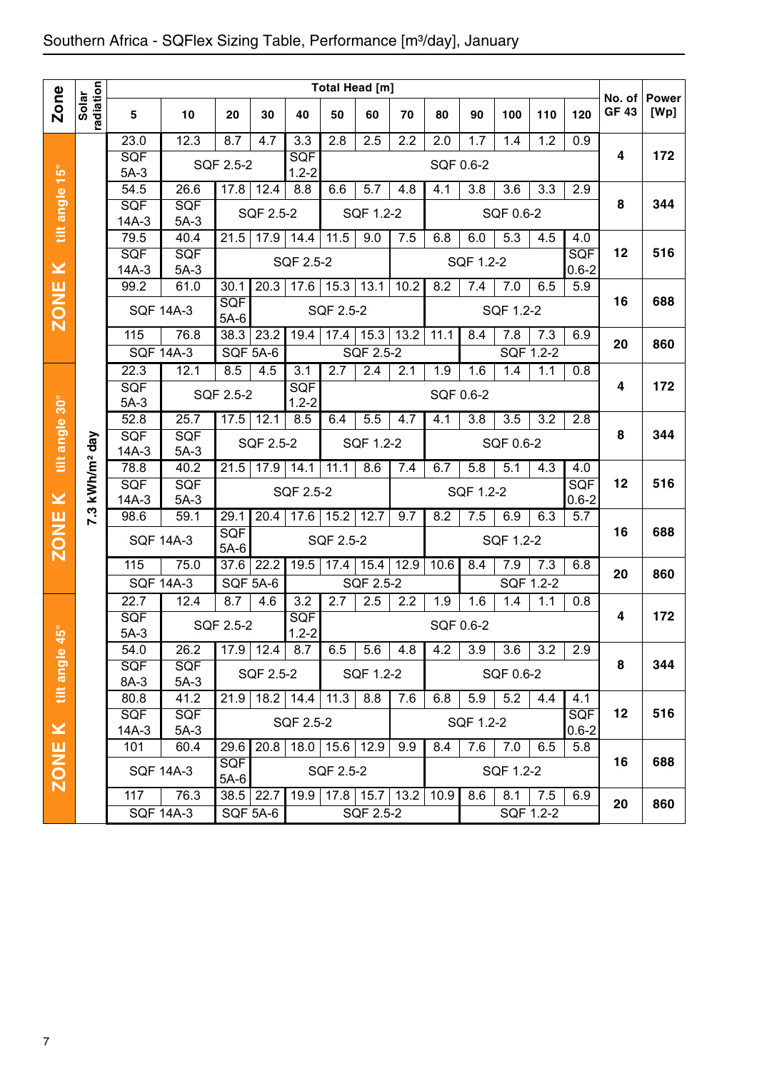|                         |                    |                  |                   |                      |           |                         |                  | Total Head [m]   |                   |           |           |                  |                  |            |                       |                      |
|-------------------------|--------------------|------------------|-------------------|----------------------|-----------|-------------------------|------------------|------------------|-------------------|-----------|-----------|------------------|------------------|------------|-----------------------|----------------------|
| <b>Zone</b>             | radiation<br>Solar | 5                | 10                | 20                   | 30        | 40                      | 50               | 60               | 70                | 80        | 90        | 100              | 110              | 120        | No. of<br><b>GF43</b> | <b>Power</b><br>[Wp] |
|                         |                    | 23.0             | 12.3              | 8.7                  | 4.7       | $\overline{3.3}$        | 2.8              | 2.5              | 2.2               | 2.0       | 1.7       | 1.4              | 1.2              | 0.9        |                       |                      |
|                         |                    | <b>SQF</b>       |                   | SQF 2.5-2            |           | <b>SQF</b>              |                  |                  |                   | SQF 0.6-2 |           |                  |                  |            | 4                     | 172                  |
| $\frac{15^{\circ}}{1}$  |                    | $5A-3$<br>54.5   | 26.6              | 17.8                 | 12.4      | $1.2 - 2$<br>8.8        | 6.6              | $5.\overline{7}$ | 4.8               | 4.1       | 3.8       | 3.6              | 3.3              | 2.9        |                       |                      |
| tilt angle              |                    | SQF              | SQF               |                      |           |                         |                  |                  |                   |           |           |                  |                  |            | 8                     | 344                  |
|                         |                    | $14A-3$          | $5A-3$            |                      | SQF 2.5-2 |                         |                  | SQF 1.2-2        |                   |           |           | SQF 0.6-2        |                  |            |                       |                      |
|                         |                    | 79.5             | 40.4              | 21.5                 | 17.9      | 14.4                    | 11.5             | 9.0              | 7.5               | 6.8       | 6.0       | 5.3              | 4.5              | 4.0        |                       |                      |
|                         |                    | <b>SQF</b>       | SQF               |                      |           | SQF 2.5-2               |                  |                  |                   |           | SQF 1.2-2 |                  |                  | <b>SQF</b> | 12                    | 516                  |
| $\geq$                  |                    | $14A-3$          | $5A-3$            |                      |           |                         |                  |                  |                   |           |           |                  |                  | $0.6 - 2$  |                       |                      |
|                         |                    | 99.2             | 61.0              | 30.1                 | 20.3      | 17.6                    | 15.3             | 13.1             | 10.2              | 8.2       | 7.4       | 7.0              | 6.5              | 5.9        |                       | 688                  |
| <b>ZONE</b>             |                    |                  | <b>SQF 14A-3</b>  | <b>SQF</b><br>$5A-6$ |           |                         | SQF 2.5-2        |                  |                   |           |           | SQF 1.2-2        |                  |            | 16                    |                      |
|                         |                    | 115              | 76.8              | 38.3                 | 23.2      | 19.4                    | 17.4             | 15.3             | $\overline{13.2}$ | 11.1      | 8.4       | 7.8              | 7.3              | 6.9        | 20                    | 860                  |
|                         |                    |                  | <b>SQF 14A-3</b>  | <b>SQF 5A-6</b>      |           |                         |                  | SQF 2.5-2        |                   |           |           | SQF 1.2-2        |                  |            |                       |                      |
|                         |                    | 22.3             | 12.1              | 8.5                  | 4.5       | 3.1                     | 2.7              | 2.4              | 2.1               | 1.9       | 1.6       | 1.4              | 1.1              | 0.8        |                       |                      |
|                         |                    | <b>SQF</b>       |                   | SQF 2.5-2            |           | <b>SQF</b>              |                  |                  |                   | SQF 0.6-2 |           |                  |                  |            | 4                     | 172                  |
| $30^\circ$              |                    | $5A-3$<br>52.8   | 25.7              | 17.5                 | 12.1      | $1.2 - 2$<br>8.5        | $6.\overline{4}$ | 5.5              | 4.7               | 4.1       | 3.8       | $\overline{3.5}$ | 3.2              | 2.8        |                       |                      |
| tilt angle              |                    | SQF              | <b>SQF</b>        |                      |           |                         |                  |                  |                   |           |           |                  |                  |            | 8                     | 344                  |
|                         | day                | $14A-3$          | $5A-3$            |                      | SQF 2.5-2 |                         |                  | SQF 1.2-2        |                   |           |           | SQF 0.6-2        |                  |            |                       |                      |
|                         | kWh/m <sup>2</sup> | 78.8             | $\overline{40.2}$ | 21.5                 | 17.9      | 14.1                    | 11.1             | 8.6              | 7.4               | 6.7       | 5.8       | 5.1              | $4.\overline{3}$ | 4.0        |                       |                      |
|                         |                    | <b>SQF</b>       | <b>SQF</b>        |                      |           | SQF 2.5-2               |                  |                  |                   |           | SQF 1.2-2 |                  |                  | <b>SQF</b> | 12                    | 516                  |
| $\overline{\textbf{X}}$ |                    | $14A-3$          | $5A-3$            |                      |           |                         |                  |                  |                   |           |           |                  |                  | $0.6 - 2$  |                       |                      |
|                         | 7.3                | 98.6             | 59.1              | 29.1                 | 20.4      | 17.6                    | 15.2             | 12.7             | 9.7               | 8.2       | 7.5       | 6.9              | 6.3              | 5.7        |                       | 688                  |
| <b>ZONE</b>             |                    |                  | <b>SQF 14A-3</b>  | SQF<br>$5A-6$        |           |                         | SQF 2.5-2        |                  |                   |           |           | SQF 1.2-2        |                  |            | 16                    |                      |
|                         |                    | 115              | 75.0              | 37.6                 | 22.2      | 19.5                    | 17.4             | 15.4             | 12.9              | 10.6      | 8.4       | 7.9              | 7.3              | 6.8        | 20                    | 860                  |
|                         |                    | <b>SQF 14A-3</b> |                   | <b>SQF 5A-6</b>      |           |                         |                  | SQF 2.5-2        |                   |           |           | SQF 1.2-2        |                  |            |                       |                      |
|                         |                    | 22.7             | 12.4              | 8.7                  | 4.6       | 3.2                     | $\overline{2.7}$ | 2.5              | 2.2               | 1.9       | 1.6       | 1.4              | 1.1              | 0.8        |                       |                      |
| $\theta$                |                    | SQF<br>$5A-3$    |                   | SQF 2.5-2            |           | <b>SQF</b><br>$1.2 - 2$ |                  |                  |                   | SQF 0.6-2 |           |                  |                  |            | 4                     | 172                  |
| ч                       |                    | 54.0             | 26.2              | 17.9                 | 12.4      | 8.7                     | 6.5              | 5.6              | 4.8               | 4.2       | 3.9       | 3.6              | 3.2              | 2.9        |                       |                      |
| tilt angle              |                    | <b>SQF</b>       | SQF               |                      |           |                         |                  |                  |                   |           |           |                  |                  |            | 8                     | 344                  |
|                         |                    | 8A-3             | $5A-3$            |                      | SQF 2.5-2 |                         |                  | SQF 1.2-2        |                   |           |           | SQF 0.6-2        |                  |            |                       |                      |
|                         |                    | 80.8             | 41.2              | 21.9                 |           | 18.2 14.4               | 11.3             | 8.8              | 7.6               | 6.8       | 5.9       | 5.2              | 4.4              | 4.1        |                       |                      |
|                         |                    | <b>SQF</b>       | <b>SQF</b>        |                      |           | SQF 2.5-2               |                  |                  |                   |           | SQF 1.2-2 |                  |                  | <b>SQF</b> | 12                    | 516                  |
| $\pmb{\times}$          |                    | 14A-3            | $5A-3$            |                      |           |                         |                  |                  |                   |           |           |                  |                  | $0.6 - 2$  |                       |                      |
|                         |                    | 101              | 60.4              | 29.6<br><b>SQF</b>   | 20.8      | 18.0                    | 15.6             | 12.9             | 9.9               | 8.4       | 7.6       | 7.0              | 6.5              | 5.8        | 16                    | 688                  |
| <b>ZONE</b>             |                    |                  | <b>SQF 14A-3</b>  | $5A-6$               |           |                         | SQF 2.5-2        |                  |                   |           |           | SQF 1.2-2        |                  |            |                       |                      |
|                         |                    | 117              | 76.3              | 38.5                 | 22.7      | 19.9                    |                  | $17.8$ 15.7      | 13.2              | 10.9      | 8.6       | 8.1              | 7.5              | 6.9        |                       |                      |
|                         |                    |                  | <b>SQF 14A-3</b>  | SQF 5A-6             |           |                         |                  | SQF 2.5-2        |                   |           |           |                  | SQF 1.2-2        |            | 20                    | 860                  |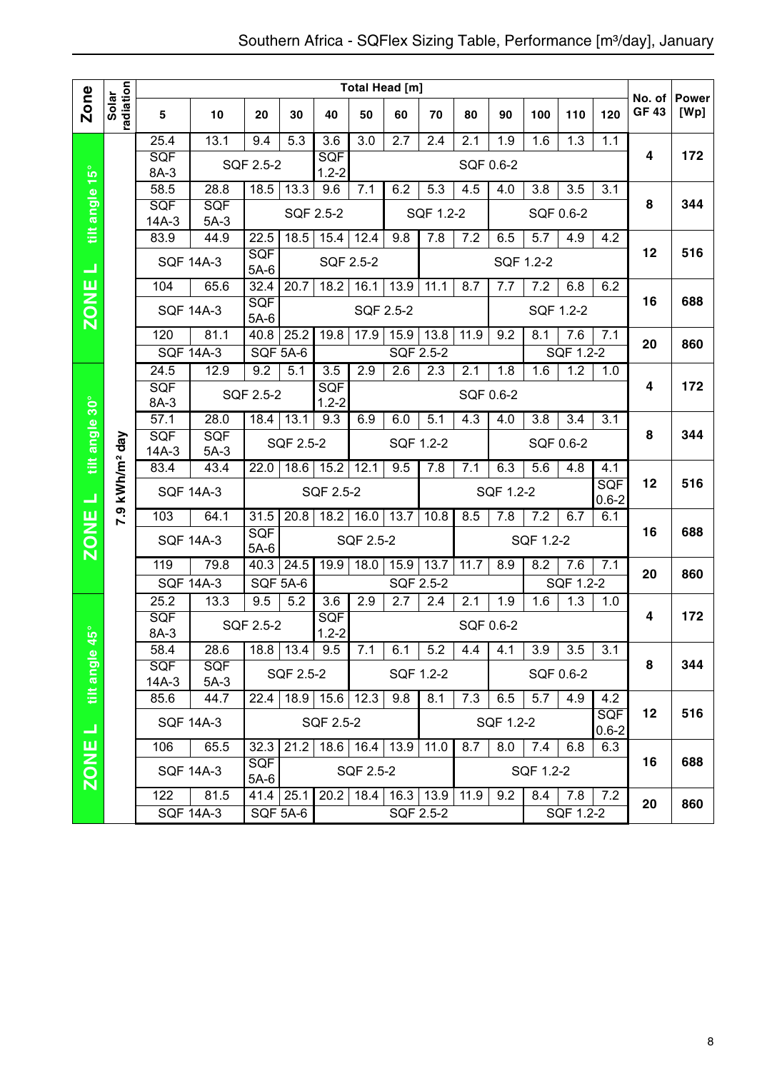|                |                        |                    |                          |                      |                 |                         |                   | <b>Total Head [m]</b> |           |           |           |                  |                  |                   |                        |                      |
|----------------|------------------------|--------------------|--------------------------|----------------------|-----------------|-------------------------|-------------------|-----------------------|-----------|-----------|-----------|------------------|------------------|-------------------|------------------------|----------------------|
| Zone           | radiation<br>Solar     | 5                  | 10                       | 20                   | 30              | 40                      | 50                | 60                    | 70        | 80        | 90        | 100              | 110              | 120               | No. of<br><b>GF 43</b> | <b>Power</b><br>[Wp] |
|                |                        | 25.4               | 13.1                     | 9.4                  | 5.3             | $\overline{3.6}$        | 3.0               | 2.7                   | 2.4       | 2.1       | 1.9       | 1.6              | 1.3              | 1.1               |                        |                      |
|                |                        | <b>SQF</b><br>8A-3 |                          | SQF 2.5-2            |                 | <b>SQF</b><br>$1.2 - 2$ |                   |                       |           | SQF 0.6-2 |           |                  |                  |                   | 4                      | 172                  |
|                |                        | $\overline{58.5}$  | 28.8                     | 18.5                 | 13.3            | 9.6                     | 7.1               | 6.2                   | 5.3       | 4.5       | 4.0       | 3.8              | 3.5              | 3.1               |                        |                      |
| tilt angle 15° |                        | SQF                | <b>SQF</b>               |                      | SQF 2.5-2       |                         |                   |                       | SQF 1.2-2 |           |           |                  | SQF 0.6-2        |                   | 8                      | 344                  |
|                |                        | $14A-3$<br>83.9    | $5A-3$<br>44.9           | 22.5                 | 18.5            | 15.4                    | 12.4              | 9.8                   | 7.8       | 7.2       | 6.5       | 5.7              | 4.9              | 4.2               |                        |                      |
|                |                        |                    |                          | <b>SQF</b>           |                 |                         |                   |                       |           |           |           |                  |                  |                   | 12                     | 516                  |
| ⊐              |                        |                    | <b>SQF 14A-3</b>         | $5A-6$               |                 | SQF 2.5-2               |                   |                       |           |           |           | SQF 1.2-2        |                  |                   |                        |                      |
| щ              |                        | 104                | 65.6                     | 32.4                 | 20.7            | 18.2                    | 16.1              | 13.9                  | 11.1      | 8.7       | 7.7       | 7.2              | 6.8              | 6.2               |                        |                      |
| ZON            |                        |                    | <b>SQF 14A-3</b>         | <b>SQF</b><br>$5A-6$ |                 |                         | SQF 2.5-2         |                       |           |           |           |                  | SQF 1.2-2        |                   | 16                     | 688                  |
|                |                        | 120                | 81.1                     | 40.8                 | 25.2            | 19.8                    | 17.9              | 15.9                  | 13.8      | 11.9      | 9.2       | 8.1              | 7.6              | 7.1               |                        | 860                  |
|                |                        |                    | <b>SQF 14A-3</b>         | SQF 5A-6             |                 |                         |                   | SQF 2.5-2             |           |           |           |                  | SQF 1.2-2        |                   | 20                     |                      |
|                |                        | 24.5               | 12.9                     | 9.2                  | 5.1             | 3.5                     | 2.9               | 2.6                   | 2.3       | 2.1       | 1.8       | 1.6              | 1.2              | 1.0               |                        |                      |
|                |                        | <b>SQF</b><br>8A-3 |                          | SQF 2.5-2            |                 | <b>SQF</b><br>$1.2 - 2$ |                   |                       |           | SQF 0.6-2 |           |                  |                  |                   | 4                      | 172                  |
|                |                        | 57.1               | 28.0                     | 18.4                 | 13.1            | 9.3                     | 6.9               | 6.0                   | 5.1       | 4.3       | 4.0       | 3.8              | 3.4              | 3.1               |                        |                      |
| tilt angle 30° |                        | <b>SQF</b>         | <b>SQF</b>               |                      | SQF 2.5-2       |                         |                   | SQF 1.2-2             |           |           |           |                  | SQF 0.6-2        |                   | 8                      | 344                  |
|                |                        | $14A-3$            | $5A-3$                   |                      |                 |                         |                   |                       |           |           |           |                  |                  |                   |                        |                      |
|                | kWh/m <sup>2</sup> day | 83.4               | 43.4                     | 22.0                 | 18.6            | 15.2                    | 12.1              | 9.5                   | 7.8       | 7.1       | 6.3       | 5.6              | 4.8              | 4.1<br><b>SQF</b> | 12                     | 516                  |
| 山              |                        |                    | <b>SQF 14A-3</b>         |                      |                 | SQF 2.5-2               |                   |                       |           |           | SQF 1.2-2 |                  |                  | $0.6 - 2$         |                        |                      |
|                | <b>P.9</b>             | 103                | 64.1                     | 31.5                 | 20.8            | 18.2                    | 16.0              | 13.7                  | 10.8      | 8.5       | 7.8       | 7.2              | 6.7              | 6.1               | 16                     | 688                  |
| <b>ZONE</b>    |                        |                    | <b>SQF 14A-3</b>         | <b>SQF</b><br>$5A-6$ |                 |                         | SQF 2.5-2         |                       |           |           |           | SQF 1.2-2        |                  |                   |                        |                      |
|                |                        | 119                | 79.8                     | 40.3                 | 24.5            | 19.9                    | 18.0              | 15.9                  | 13.7      | 11.7      | 8.9       | 8.2              | 7.6              | 7.1               | 20                     | 860                  |
|                |                        |                    | <b>SQF 14A-3</b>         | SQF 5A-6             |                 |                         |                   | <b>SQF 2.5-2</b>      |           |           |           |                  | SQF 1.2-2        |                   |                        |                      |
|                |                        | 25.2               | 13.3                     | 9.5                  | 5.2             | 3.6                     | 2.9               | 2.7                   | 2.4       | 2.1       | 1.9       | 1.6              | 1.3              | 1.0               |                        |                      |
| $45^{\circ}$   |                        | <b>SQF</b><br>8A-3 |                          | SQF 2.5-2            |                 | <b>SQF</b><br>$1.2 - 2$ |                   |                       |           | SQF 0.6-2 |           |                  |                  |                   | 4                      | 172                  |
|                |                        | 58.4               | 28.6                     |                      | $18.8$ 13.4 9.5 |                         | 7.1               | 6.1                   | 5.2       | 4.4       | 4.1       | 3.9              | $\overline{3.5}$ | $\overline{3.1}$  |                        |                      |
| tilt angle     |                        |                    |                          |                      |                 |                         |                   |                       |           |           |           |                  |                  | 8                 | 344                    |                      |
|                |                        | <b>SQF</b>         | <b>SQF</b>               |                      | SQF 2.5-2       |                         |                   |                       | SQF 1.2-2 |           |           |                  | SQF 0.6-2        |                   |                        |                      |
|                |                        | $14A-3$<br>85.6    | $5A-3$<br>44.7           | 22.4                 | 18.9            | 15.6                    | 12.3              | 9.8                   | 8.1       | 7.3       | 6.5       | 5.7              | 4.9              | 4.2               |                        |                      |
|                |                        |                    | <b>SQF 14A-3</b>         |                      |                 | SQF 2.5-2               |                   |                       |           |           | SQF 1.2-2 |                  |                  | <b>SQF</b>        | $12 \,$                | 516                  |
| ⊐              |                        |                    |                          |                      |                 |                         |                   |                       |           |           |           |                  |                  | $0.6 - 2$         |                        |                      |
|                |                        | 106                | 65.5                     | 32.3<br><b>SQF</b>   | 21.2            |                         | 18.6 16.4 13.9    |                       | 11.0      | 8.7       | 8.0       | 7.4              | 6.8              | 6.3               | 16                     | 688                  |
| <b>ZONE</b>    |                        | 122                | <b>SQF 14A-3</b><br>81.5 | $5A-6$               | $41.4$ 25.1     | 20.2                    | SQF 2.5-2<br>18.4 | $16.3$ 13.9           |           | 11.9      | 9.2       | SQF 1.2-2<br>8.4 | 7.8              | 7.2               |                        |                      |